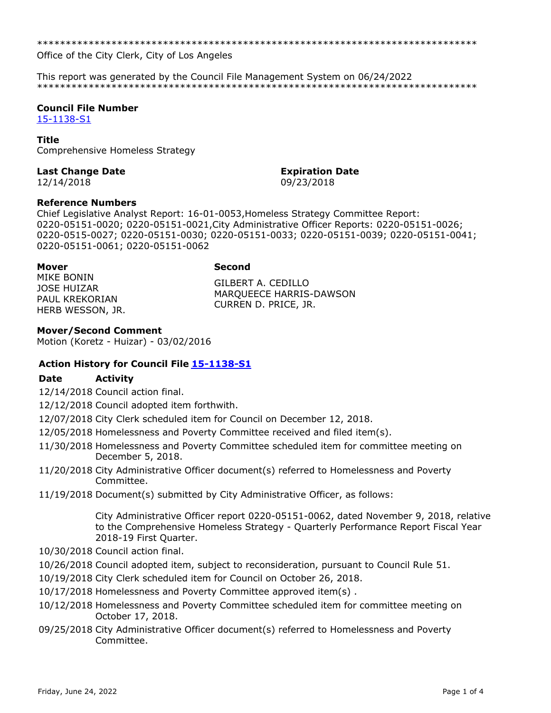\*\*\*\*\*\*\*\*\*\*\*\*\*\*\*\*\*\*\*\*\*\*\*\*\*\*\*\*\*\*\*\*\*\*\*\*\*\*\*\*\*\*\*\*\*\*\*\*\*\*\*\*\*\*\*\*\*\*\*\*\*\*\*\*\*\*\*\*\*\*\*\*\*\*\*\*\*

Office of the City Clerk, City of Los Angeles

This report was generated by the Council File Management System on 06/24/2022 \*\*\*\*\*\*\*\*\*\*\*\*\*\*\*\*\*\*\*\*\*\*\*\*\*\*\*\*\*\*\*\*\*\*\*\*\*\*\*\*\*\*\*\*\*\*\*\*\*\*\*\*\*\*\*\*\*\*\*\*\*\*\*\*\*\*\*\*\*\*\*\*\*\*\*\*\*

# **Council File Number**

[15-1138-S1](https://cityclerk.lacity.org/lacityclerkconnect/index.cfm?fa=ccfi.viewrecord&cfnumber=15-1138-S1)

### **Title**

Comprehensive Homeless Strategy

## **Last Change Date Expiration Date**

12/14/2018 09/23/2018

**Reference Numbers**

Chief Legislative Analyst Report: 16-01-0053,Homeless Strategy Committee Report: 0220-05151-0020; 0220-05151-0021,City Administrative Officer Reports: 0220-05151-0026; 0220-0515-0027; 0220-05151-0030; 0220-05151-0033; 0220-05151-0039; 0220-05151-0041; 0220-05151-0061; 0220-05151-0062

### **Mover Second**

MIKE BONIN JOSE HUIZAR PAUL KREKORIAN HERB WESSON, JR.

GILBERT A. CEDILLO MARQUEECE HARRIS-DAWSON CURREN D. PRICE, JR.

## **Mover/Second Comment**

Motion (Koretz - Huizar) - 03/02/2016

## **Action History for Council File [15-1138-S1](https://cityclerk.lacity.org/lacityclerkconnect/index.cfm?fa=ccfi.viewrecord&cfnumber=15-1138-S1)**

## **Date Activity**

12/14/2018 Council action final.

12/12/2018 Council adopted item forthwith.

- 12/07/2018 City Clerk scheduled item for Council on December 12, 2018.
- 12/05/2018 Homelessness and Poverty Committee received and filed item(s).
- 11/30/2018 Homelessness and Poverty Committee scheduled item for committee meeting on December 5, 2018.
- 11/20/2018 City Administrative Officer document(s) referred to Homelessness and Poverty Committee.
- 11/19/2018 Document(s) submitted by City Administrative Officer, as follows:

City Administrative Officer report 0220-05151-0062, dated November 9, 2018, relative to the Comprehensive Homeless Strategy - Quarterly Performance Report Fiscal Year 2018-19 First Quarter.

- 10/30/2018 Council action final.
- 10/26/2018 Council adopted item, subject to reconsideration, pursuant to Council Rule 51.
- 10/19/2018 City Clerk scheduled item for Council on October 26, 2018.
- 10/17/2018 Homelessness and Poverty Committee approved item(s) .
- 10/12/2018 Homelessness and Poverty Committee scheduled item for committee meeting on October 17, 2018.
- 09/25/2018 City Administrative Officer document(s) referred to Homelessness and Poverty Committee.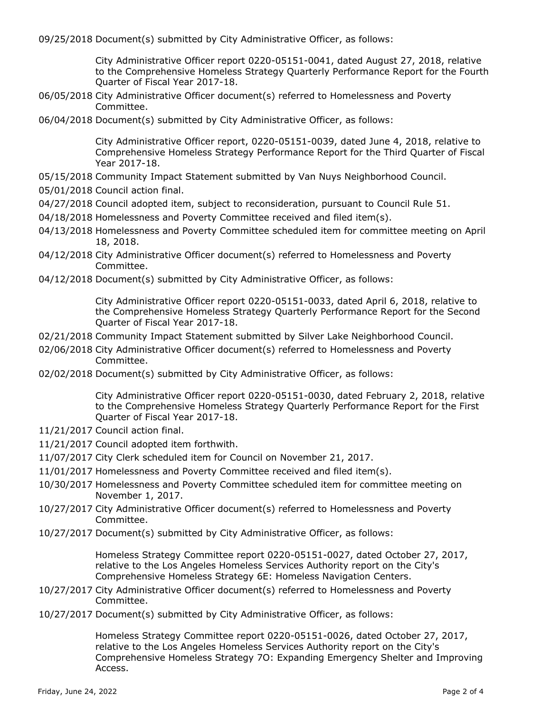09/25/2018 Document(s) submitted by City Administrative Officer, as follows:

City Administrative Officer report 0220-05151-0041, dated August 27, 2018, relative to the Comprehensive Homeless Strategy Quarterly Performance Report for the Fourth Quarter of Fiscal Year 2017-18.

06/05/2018 City Administrative Officer document(s) referred to Homelessness and Poverty Committee.

06/04/2018 Document(s) submitted by City Administrative Officer, as follows:

City Administrative Officer report, 0220-05151-0039, dated June 4, 2018, relative to Comprehensive Homeless Strategy Performance Report for the Third Quarter of Fiscal Year 2017-18.

- 05/15/2018 Community Impact Statement submitted by Van Nuys Neighborhood Council.
- 05/01/2018 Council action final.
- 04/27/2018 Council adopted item, subject to reconsideration, pursuant to Council Rule 51.
- 04/18/2018 Homelessness and Poverty Committee received and filed item(s).
- 04/13/2018 Homelessness and Poverty Committee scheduled item for committee meeting on April 18, 2018.
- 04/12/2018 City Administrative Officer document(s) referred to Homelessness and Poverty Committee.
- 04/12/2018 Document(s) submitted by City Administrative Officer, as follows:

City Administrative Officer report 0220-05151-0033, dated April 6, 2018, relative to the Comprehensive Homeless Strategy Quarterly Performance Report for the Second Quarter of Fiscal Year 2017-18.

- 02/21/2018 Community Impact Statement submitted by Silver Lake Neighborhood Council.
- 02/06/2018 City Administrative Officer document(s) referred to Homelessness and Poverty Committee.
- 02/02/2018 Document(s) submitted by City Administrative Officer, as follows:

City Administrative Officer report 0220-05151-0030, dated February 2, 2018, relative to the Comprehensive Homeless Strategy Quarterly Performance Report for the First Quarter of Fiscal Year 2017-18.

- 11/21/2017 Council action final.
- 11/21/2017 Council adopted item forthwith.
- 11/07/2017 City Clerk scheduled item for Council on November 21, 2017.
- 11/01/2017 Homelessness and Poverty Committee received and filed item(s).
- 10/30/2017 Homelessness and Poverty Committee scheduled item for committee meeting on November 1, 2017.
- 10/27/2017 City Administrative Officer document(s) referred to Homelessness and Poverty Committee.
- 10/27/2017 Document(s) submitted by City Administrative Officer, as follows:

Homeless Strategy Committee report 0220-05151-0027, dated October 27, 2017, relative to the Los Angeles Homeless Services Authority report on the City's Comprehensive Homeless Strategy 6E: Homeless Navigation Centers.

- 10/27/2017 City Administrative Officer document(s) referred to Homelessness and Poverty Committee.
- 10/27/2017 Document(s) submitted by City Administrative Officer, as follows:

Homeless Strategy Committee report 0220-05151-0026, dated October 27, 2017, relative to the Los Angeles Homeless Services Authority report on the City's Comprehensive Homeless Strategy 7O: Expanding Emergency Shelter and Improving Access.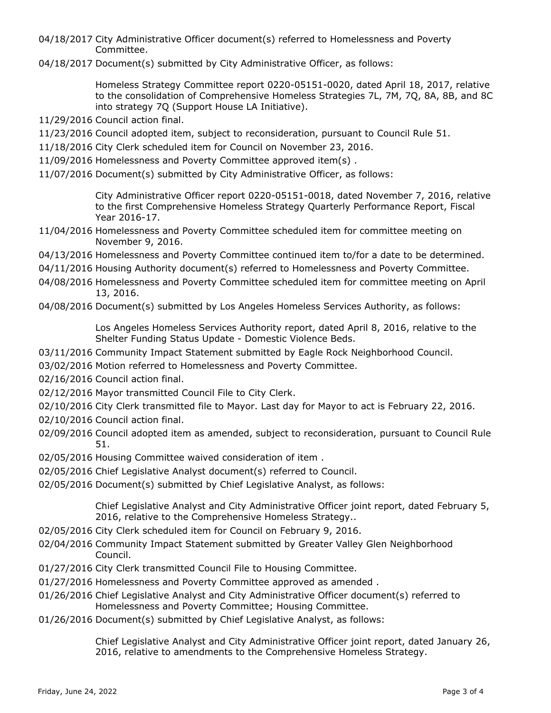04/18/2017 City Administrative Officer document(s) referred to Homelessness and Poverty Committee.

04/18/2017 Document(s) submitted by City Administrative Officer, as follows:

Homeless Strategy Committee report 0220-05151-0020, dated April 18, 2017, relative to the consolidation of Comprehensive Homeless Strategies 7L, 7M, 7Q, 8A, 8B, and 8C into strategy 7Q (Support House LA Initiative).

- 11/29/2016 Council action final.
- 11/23/2016 Council adopted item, subject to reconsideration, pursuant to Council Rule 51.
- 11/18/2016 City Clerk scheduled item for Council on November 23, 2016.
- 11/09/2016 Homelessness and Poverty Committee approved item(s) .
- 11/07/2016 Document(s) submitted by City Administrative Officer, as follows:

City Administrative Officer report 0220-05151-0018, dated November 7, 2016, relative to the first Comprehensive Homeless Strategy Quarterly Performance Report, Fiscal Year 2016-17.

- 11/04/2016 Homelessness and Poverty Committee scheduled item for committee meeting on November 9, 2016.
- 04/13/2016 Homelessness and Poverty Committee continued item to/for a date to be determined.
- 04/11/2016 Housing Authority document(s) referred to Homelessness and Poverty Committee.
- 04/08/2016 Homelessness and Poverty Committee scheduled item for committee meeting on April 13, 2016.
- 04/08/2016 Document(s) submitted by Los Angeles Homeless Services Authority, as follows:

Los Angeles Homeless Services Authority report, dated April 8, 2016, relative to the Shelter Funding Status Update - Domestic Violence Beds.

- 03/11/2016 Community Impact Statement submitted by Eagle Rock Neighborhood Council.
- 03/02/2016 Motion referred to Homelessness and Poverty Committee.
- 02/16/2016 Council action final.
- 02/12/2016 Mayor transmitted Council File to City Clerk.
- 02/10/2016 City Clerk transmitted file to Mayor. Last day for Mayor to act is February 22, 2016.
- 02/10/2016 Council action final.
- 02/09/2016 Council adopted item as amended, subject to reconsideration, pursuant to Council Rule 51.
- 02/05/2016 Housing Committee waived consideration of item .
- 02/05/2016 Chief Legislative Analyst document(s) referred to Council.
- 02/05/2016 Document(s) submitted by Chief Legislative Analyst, as follows:

Chief Legislative Analyst and City Administrative Officer joint report, dated February 5, 2016, relative to the Comprehensive Homeless Strategy..

- 02/05/2016 City Clerk scheduled item for Council on February 9, 2016.
- 02/04/2016 Community Impact Statement submitted by Greater Valley Glen Neighborhood Council.
- 01/27/2016 City Clerk transmitted Council File to Housing Committee.
- 01/27/2016 Homelessness and Poverty Committee approved as amended .
- 01/26/2016 Chief Legislative Analyst and City Administrative Officer document(s) referred to Homelessness and Poverty Committee; Housing Committee.
- 01/26/2016 Document(s) submitted by Chief Legislative Analyst, as follows:

Chief Legislative Analyst and City Administrative Officer joint report, dated January 26, 2016, relative to amendments to the Comprehensive Homeless Strategy.